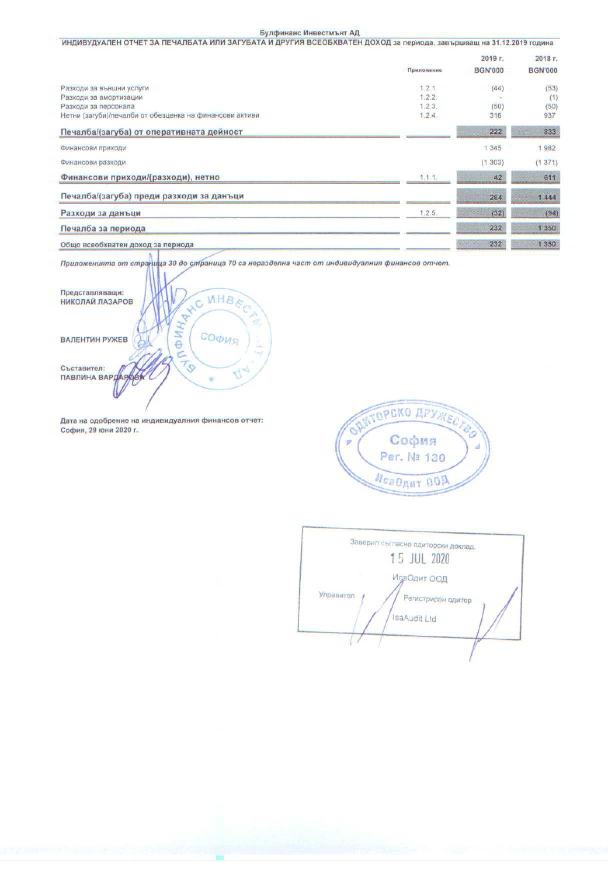## Булфинанс Инвестмънт АД

| ИНДИВУДУАЛЕН ОТЧЕТ ЗА ПЕЧАЛБАТА ИЛИ ЗАГУБАТА И ДРУГИЯ ВСЕОБХВАТЕН ДОХОД за периода, завършващ на 31.12.2019 година |            |                |                |  |  |
|--------------------------------------------------------------------------------------------------------------------|------------|----------------|----------------|--|--|
|                                                                                                                    |            | 2019 г.        | 2018 г.        |  |  |
|                                                                                                                    | Приложение | <b>BGN'000</b> | <b>BGN'000</b> |  |  |
| Разходи за външни услуги                                                                                           | 1.2.1.     | (44)           | (53)           |  |  |
| Разходи за амортизации                                                                                             | 1.2.2.     |                | (1)            |  |  |
| Разходи за персонала                                                                                               | 1.2.3.     | (50)           | (50)           |  |  |
| Нетни (загуби)/печалби от обезценка на финансови активи                                                            | 1.2.4.     | 316            | 937            |  |  |
| Печалба/(загуба) от оперативната дейност                                                                           |            | 222            | 833            |  |  |
| Финансови приходи                                                                                                  |            | 1 3 4 5        | 1982           |  |  |
| Финансови разходи                                                                                                  |            | (1.303)        | (1371)         |  |  |
| Финансови приходи/(разходи), нетно                                                                                 | 1.1.1.     | 42             | 611            |  |  |
| Печалба/(загуба) преди разходи за данъци                                                                           |            | 264            | 1444           |  |  |
| Разходи за данъци                                                                                                  | 1.2.5.     | (32)           | (94)           |  |  |
| Печалба за периода                                                                                                 |            | 232            | 1 3 5 0        |  |  |
| Общо всеобхватен доход за периода                                                                                  |            | 232            | 1 3 5 0        |  |  |

Приложенията от страница 30 до страница 70 са неразделна част от индивидуалния финансов отчет.



Дата на одобрение на индивидуалния финансов отчет: София, 29 юни 2020 г.



Заверил съгласно одиторски доклад. 15 JUL 2020 ИсаОдит ООД Управител Регистриран одитор IsaAudit Ltd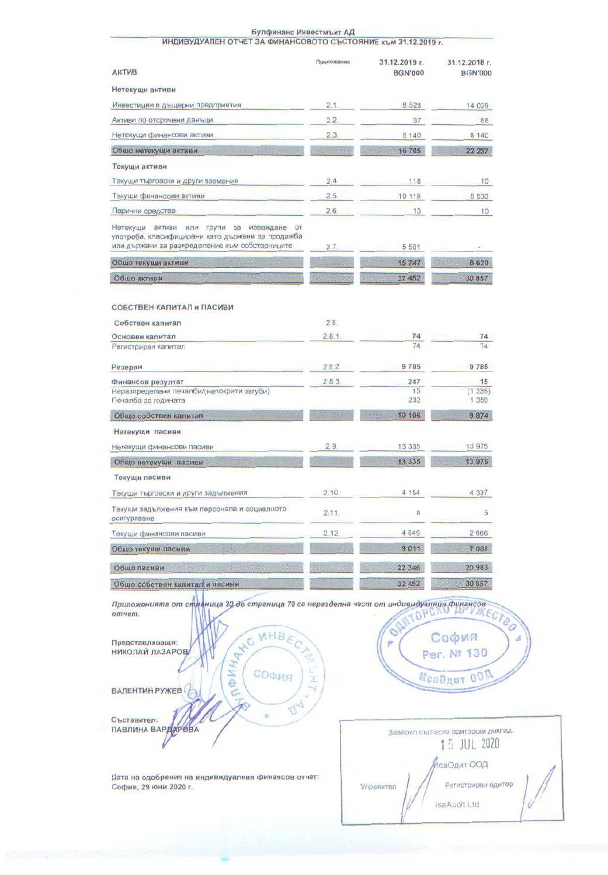| ИНДИВУДУАЛЕН ОТЧЕТ ЗА ФИНАНСОВОТО СЪСТОЯНИЕ към 31.12.2019 г.                                                                                                  |            |                                 |                                            |
|----------------------------------------------------------------------------------------------------------------------------------------------------------------|------------|---------------------------------|--------------------------------------------|
| <b>АКТИВ</b>                                                                                                                                                   | Приложение | 31.12.2019 г.<br><b>BGN'000</b> | 31.12.2018 г.<br><b>BGN'000</b>            |
| Нетекущи активи                                                                                                                                                |            |                                 |                                            |
| Инвестиции в дъщерни предприятия                                                                                                                               | 2.1.       | 8 5 2 8                         | 14 029                                     |
| Активи по отсрочени данъци                                                                                                                                     | 2.2        | 37                              | 68                                         |
| Нетекущи финансови активи                                                                                                                                      | 2.3.       | 8 140                           | 8 140                                      |
| Общо нетекущи активи                                                                                                                                           | t I van    | 16 705                          | 22 237                                     |
| Текущи активи                                                                                                                                                  |            |                                 |                                            |
| Текущи търговски и други вземания                                                                                                                              | 2.4.       | 118                             | 10                                         |
| Текущи финансови активи                                                                                                                                        | 2.5.       | 10 115                          | 8 600                                      |
| Парични средства                                                                                                                                               | 2.6.       | 13                              | 10                                         |
| Нетекущи активи или групи за изваждане от<br>употреба, класифицирани като държани за продажба                                                                  |            |                                 |                                            |
| или държани за разпределение към собствениците                                                                                                                 | 2.7.       | 5 5 0 1                         |                                            |
| Общо текущи активи                                                                                                                                             |            | 15747                           | 8620                                       |
| Общо активи                                                                                                                                                    |            | 32 452                          | 30 857                                     |
| СОБСТВЕН КАПИТАЛ и ПАСИВИ                                                                                                                                      |            |                                 |                                            |
| Собствен капитал                                                                                                                                               | 2.8.       |                                 |                                            |
| Основен капитал                                                                                                                                                | 2.8.1      | 74                              | 74                                         |
| Регистриран капитал                                                                                                                                            |            | 74                              | 74                                         |
| Резерви                                                                                                                                                        | 2.8.2      | 9785                            | 9785                                       |
| Финансов резултат                                                                                                                                              | 2.8.3      | 247                             | 15                                         |
| Неразпределени печалби/(непокрити загуби)<br>Печалба за годината                                                                                               |            | 15<br>232                       | (1335)<br>1 3 5 0                          |
| Общо собствен капитал                                                                                                                                          |            | 10 106                          | 9874                                       |
| Нетекущи пасиви                                                                                                                                                |            |                                 |                                            |
| Нетекущи финансови пасиви                                                                                                                                      | 2.9.       | 13 335                          | 13 975                                     |
| Общо нетекущи пасиви                                                                                                                                           |            | 13 3 3 5                        | 13 975                                     |
| Текущи пасиви                                                                                                                                                  |            |                                 |                                            |
| Текущи търговски и други задължения                                                                                                                            | 2.10.      | 4 154                           | 4 3 3 7                                    |
| Текущи задължения към персонала и социалното<br>осигуряване                                                                                                    | 2.11.      | 8                               | 5                                          |
| Текущи финансови пасиви                                                                                                                                        | 2.12.      | 4849                            | 2666                                       |
| Общо текущи пасиви                                                                                                                                             |            | 9011                            | 7 008                                      |
| Общо пасиви                                                                                                                                                    |            | 22 346                          | 20 983                                     |
| Общо собствен капитал и пасиви                                                                                                                                 |            | 32 452                          | 30 857                                     |
| Приложенията от спраница 30 до страница 70 са неразделна част от индивидуалния финансов<br>отчет.<br>A WO WHERE<br>Представляващи:<br>НИКОЛАИ ЛАЗАРОВ<br>СОФИЯ |            | OHNTOPO<br>ý                    | MEC<br>София<br>Per. Nº 130<br>McaOgur 00N |
| ВАЛЕНТИН РУЖЕВ                                                                                                                                                 | Œ          |                                 |                                            |

44

Съставител:

Дата на одобрение на индивидуалния финансов отчет:<br>София, 29 юни 2020 г.

|           | Заверил съгласно одиторски доклад.<br>5 JUL 2020 |
|-----------|--------------------------------------------------|
|           | саОдит ООД                                       |
| Управител | Регистриран одитор                               |
|           | IsaAudit Ltd                                     |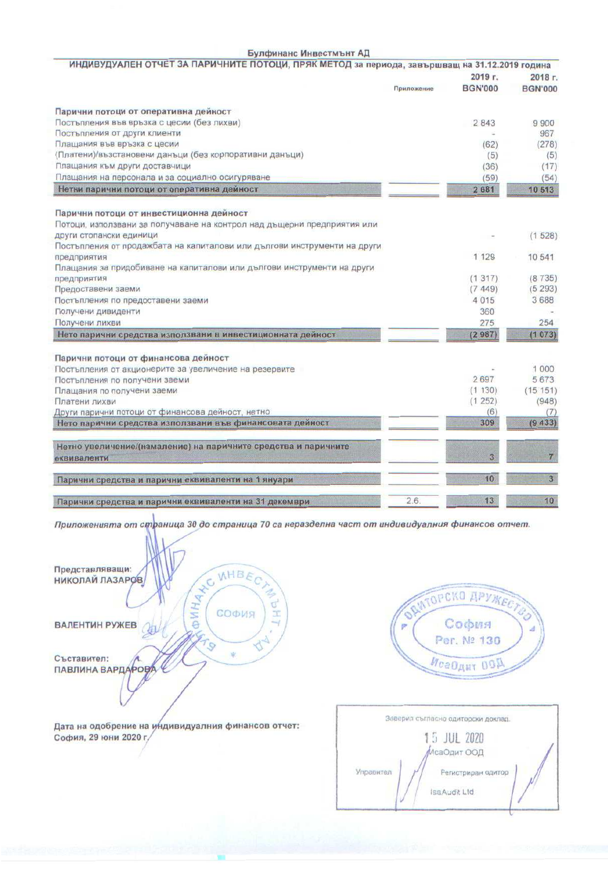## Булфинанс Инвестмънт АД

| ИНДИВУДУАЛЕН ОТЧЕТ ЗА ПАРИЧНИТЕ ПОТОЦИ, ПРЯК МЕТОД за периода, завършващ на 31.12.2019 година |            |                |                |
|-----------------------------------------------------------------------------------------------|------------|----------------|----------------|
|                                                                                               |            | 2019 г.        | 2018 г.        |
|                                                                                               | Приложение | <b>BGN'000</b> | <b>BGN'000</b> |
| Парични потоци от оперативна дейност                                                          |            |                |                |
| Постъпления във връзка с цесии (без лихви)                                                    |            | 2 8 4 3        | 9900           |
| Постъпления от други клиенти                                                                  |            |                | 967            |
| Плащания във връзка с цесии                                                                   |            | (62)           | (278)          |
| (Платени)/възстановени данъци (без корпоративни данъци)                                       |            | (5)            | (5)            |
| Плащания към други доставчици                                                                 |            | (36)           | (17)           |
| Плащания на персонала и за социално осигуряване                                               |            | (59)           | (54)           |
| Нетни парични потоци от оперативна дейност                                                    |            | 2681           | 10 513         |
| Парични потоци от инвестиционна дейност                                                       |            |                |                |
| Потоци, използвани за получаване на контрол над дъщерни предприятия или                       |            |                |                |
| други стопански единици                                                                       |            |                | (1528)         |
| Постъпления от продажбата на капиталови или дългови инструменти на други                      |            |                |                |
| предприятия                                                                                   |            | 1 1 2 9        | 10 541         |
| Плащания за придобиване на капиталови или дългови инструменти на други                        |            |                |                |
| предприятия                                                                                   |            | (1317)         | (8735)         |
| Предоставени заеми                                                                            |            | (7.449)        | (5293)         |
| Постъпления по предоставени заеми                                                             |            | 4015           | 3688           |
| Получени дивиденти                                                                            |            | 360            |                |
| Получени лихви                                                                                |            | 275            | 254            |
| Нето парични средства използвани в инвестиционната дейност                                    |            | (2987)         | (1073)         |
| Парични потоци от финансова дейност                                                           |            |                |                |
| Постъпления от акционерите за увеличение на резервите                                         |            |                | 1 000          |
| Постъпления по получени заеми                                                                 |            | 2697           | 5673           |
| Плащания по получени заеми                                                                    |            | (1130)         | (15151)        |
| Платени лихви                                                                                 |            | (1252)         | (948)          |
| Други парични потоци от финансова дейност, нетно                                              |            | (6)            | (7)            |
| Нето парични средства използвани във финансовата дейност                                      |            | 309            | (9433)         |
| Нетно увеличение/(намаление) на паричните средства и паричните                                |            |                |                |
| еквиваленти                                                                                   |            | $\overline{3}$ | $\overline{I}$ |
| Парични средства и парични еквиваленти на 1 януари                                            |            | 10             | 3 <sub>1</sub> |
| Парични средства и парични еквиваленти на 31 декември                                         | 2.6.       | 13             | 10             |
|                                                                                               |            |                |                |

Приложенията от страница 30 до страница 70 са неразделна част от индивидуалния финансов отчет.





| Заверил съгласно одиторски доклад. |  |
|------------------------------------|--|
| 15 JUL 2020<br>ИсаОдит ООД         |  |
| Управител<br>Регистриран одитор    |  |
| IsaAudit Ltd                       |  |